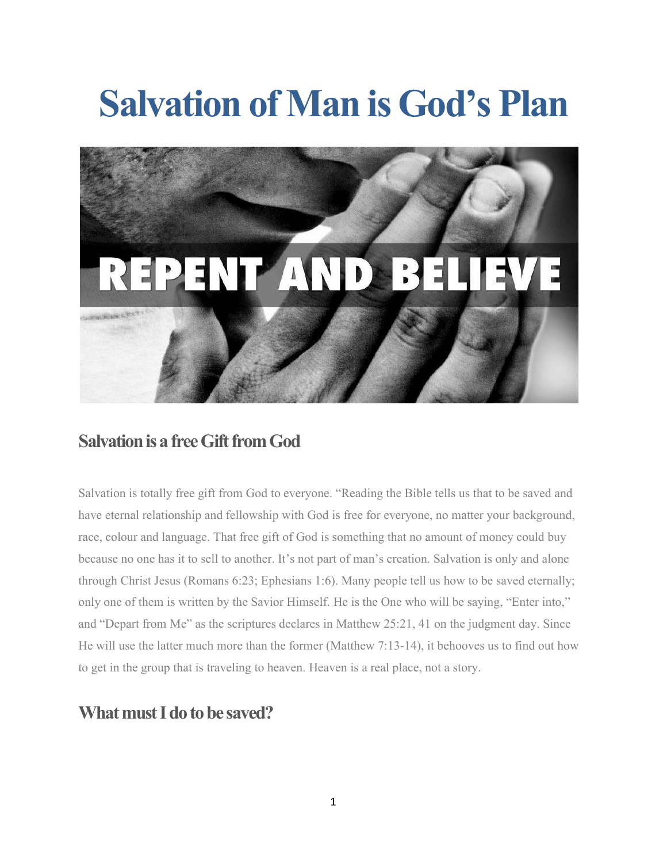# **Salvation of Man is God's Plan**



## **Salvation is a free Gift from God**

Salvation is totally free gift from God to everyone. "Reading the Bible tells us that to be saved and have eternal relationship and fellowship with God is free for everyone, no matter your background, race, colour and language. That free gift of God is something that no amount of money could buy because no one has it to sell to another. It's not part of man's creation. Salvation is only and alone through Christ Jesus (Romans 6:23; Ephesians 1:6). Many people tell us how to be saved eternally; only one of them is written by the Savior Himself. He is the One who will be saying, "Enter into," and "Depart from Me" as the scriptures declares in Matthew 25:21, 41 on the judgment day. Since He will use the latter much more than the former (Matthew 7:13-14), it behooves us to find out how to get in the group that is traveling to heaven. Heaven is a real place, not a story.

### **What must I do to be saved?**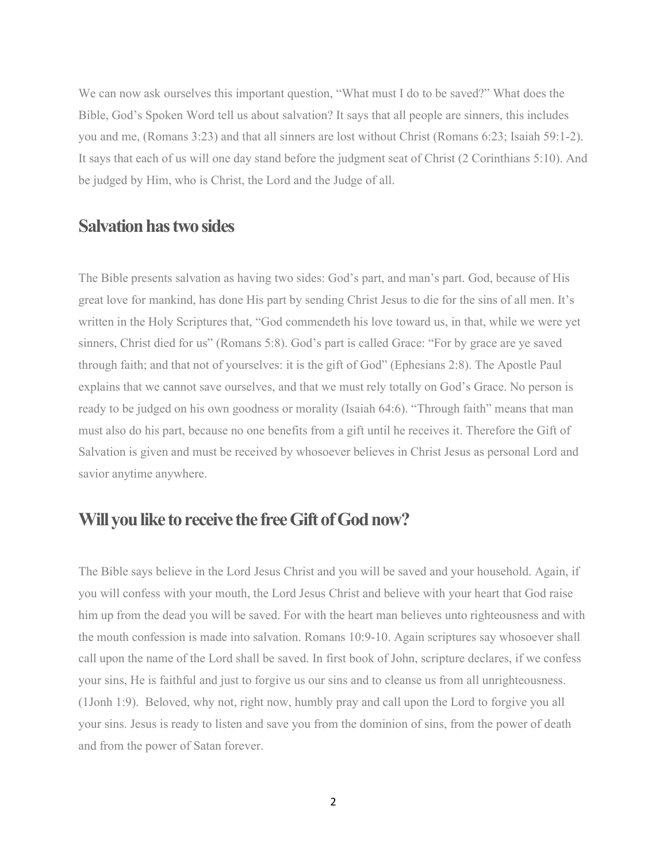We can now ask ourselves this important question, "What must I do to be saved?" What does the Bible, God's Spoken Word tell us about salvation? It says that all people are sinners, this includes you and me, (Romans 3:23) and that all sinners are lost without Christ (Romans 6:23; Isaiah 59:1-2). It says that each of us will one day stand before the judgment seat of Christ (2 Corinthians 5:10). And be judged by Him, who is Christ, the Lord and the Judge of all.

#### **Salvation has two sides**

The Bible presents salvation as having two sides: God's part, and man's part.God, because of His great love for mankind, has done His part by sending Christ Jesus to die for the sins of all men. It's written in the Holy Scriptures that, "God commendeth his love toward us, in that, while we were yet sinners, Christ died for us" (Romans 5:8). God's part is called Grace: "For by grace are ye saved through faith; and that not of yourselves: it is the gift of God" (Ephesians 2:8). The Apostle Paul explains that we cannot save ourselves, and that we must rely totally on God's Grace. No person is ready to be judged on his own goodness or morality (Isaiah 64:6). "Through faith" means that man must also do his part, because no one benefits from a gift until he receives it. Therefore the Gift of Salvation is given and must be received by whosoever believes in Christ Jesus as personal Lord and savior anytime anywhere.

#### **Willyoulike toreceive the freeGiftofGodnow?**

The Bible says believe in the Lord Jesus Christ and you will be saved and your household. Again, if you will confess with your mouth, the Lord Jesus Christ and believe with your heart that God raise him up from the dead you will be saved. For with the heart man believes unto righteousness and with the mouth confession is made into salvation. Romans 10:9-10. Again scriptures say whosoever shall call upon the name of the Lord shall be saved. In first book of John, scripture declares, if we confess your sins, He is faithful and just to forgive us our sins and to cleanse us from all unrighteousness. (1Jonh 1:9). Beloved, why not, right now, humbly pray and call upon the Lord to forgive you all your sins. Jesus is ready to listen and save you from the dominion of sins, from the power of death and from the power of Satan forever.